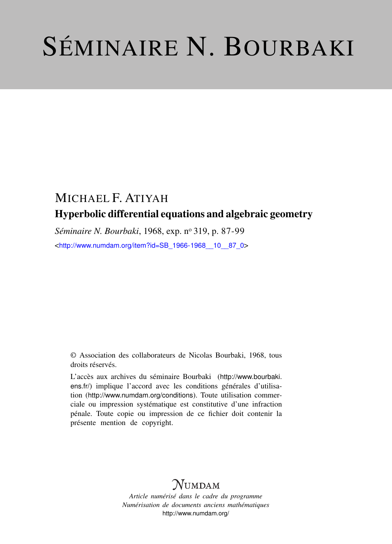# SÉMINAIRE N. BOURBAKI

## MICHAEL F. ATIYAH Hyperbolic differential equations and algebraic geometry

Séminaire N. Bourbaki, 1968, exp. nº 319, p. 87-99

<[http://www.numdam.org/item?id=SB\\_1966-1968\\_\\_10\\_\\_87\\_0](http://www.numdam.org/item?id=SB_1966-1968__10__87_0)>

© Association des collaborateurs de Nicolas Bourbaki, 1968, tous droits réservés.

L'accès aux archives du séminaire Bourbaki ([http://www.bourbaki.](http://www.bourbaki.ens.fr/) [ens.fr/](http://www.bourbaki.ens.fr/)) implique l'accord avec les conditions générales d'utilisation (<http://www.numdam.org/conditions>). Toute utilisation commerciale ou impression systématique est constitutive d'une infraction pénale. Toute copie ou impression de ce fichier doit contenir la présente mention de copyright.

## **NUMDAM**

*Article numérisé dans le cadre du programme Numérisation de documents anciens mathématiques* <http://www.numdam.org/>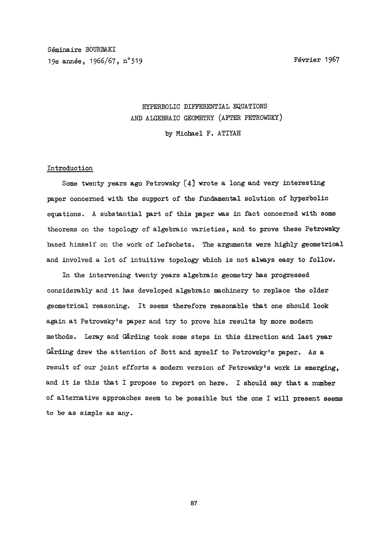Séminaire BOURBAKI 19e année, 1966/67, n°319 Février 1967

### HYPERBOLIC DIFFERENTIAL EQUATIONS AND ALGEBRAIC GEOMETRY (AFTER PETROWSKY)

by Michael F. ATIYAH

#### Introduction

Some twenty years ago Petrowsky  $[4]$  wrote a long and very interesting paper concerned with the support of the fundamental solution of hyperbolic equations. A substantial part of this paper was in fact concerned with some theorems on the topology of algebraic varieties, and to prove these Petrowsky based himself on the work of Lefschetz. The arguments were highly geometrical and involved a lot of intuitive topology which is not always easy to follow.

In the intervening twenty years algebraic geometry has progressed considerably and it has developed algebraic machinery to replace the older geometrical reasoning. It seems therefore reasonable that one should look again at Petrowsky's paper and try to prove his results by more modern methods. Leray and Gårding took some steps in this direction and last year Garding drew the attention of Bott and myself to Petrowsky's paper. As a result of our joint efforts a modern version of Petrowsky's work is emerging, and it is this that I propose to report on here. I should say that a number of alternative approaches seem to be possible but the one I will present seems to be as simple as any.

87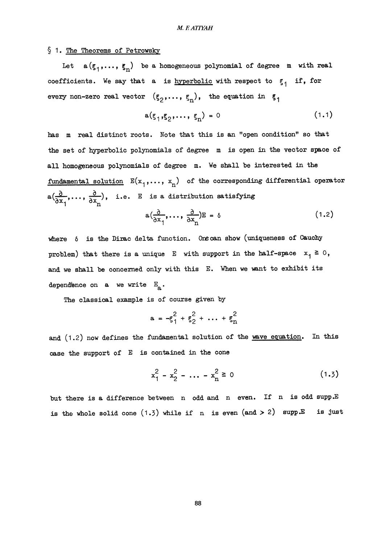#### § 1. The Theorems of Petrowsky

Let  $a(\xi_1,\ldots,\xi_n)$  be a homogeneous polynomial of degree m with real coefficients. We say that a is hyperbolic with respect to  $\xi_1$  if, for every non-zero real vector  $(\xi_2,\ldots,\xi_n)$ , the equation in  $\xi_1$ 

$$
a(\xi_1, \xi_2, \dots, \xi_n) = 0 \tag{1.1}
$$

has m real distinct roots. Note that this is an "open condition" so that the set of hyperbolic polynomials of degree m is open in the vector space of all homogeneous polynomials of degree m. We shall be interested in the fundamental solution  $E(x_1,\ldots, x_n)$  of the corresponding differential operator  $a(\frac{\partial}{\partial x_1}, \ldots, \frac{\partial}{\partial x_n}),$  i.e. E is a distribution satisfying<br> $a(\frac{\partial}{\partial x_1}, \ldots, \frac{\partial}{\partial x_n})E = \delta$  $(1.2)$ 

where  $\delta$  is the Dirac delta function. One can show (uniqueness of Cauchy problem) that there is a unique E with support in the half-space  $x_1 \ge 0$ , and we shall be concerned only with this E. When we want to exhibit its dependence on a we write  $E_{a}$ .

The classical example is of course given by

$$
a = -\xi_1^2 + \xi_2^2 + \dots + \xi_n^2
$$

and (1.2) now defines the fundamental solution of the wave equation. In this case the support of E is contained in the cone

$$
x_1^2 - x_2^2 - \dots - x_n^2 \ge 0 \tag{1.3}
$$

but there is a difference between n odd and n even. If n is odd supp.E is the whole solid cone  $(1.3)$  while if n is even  $($ and  $> 2)$  supp.E is just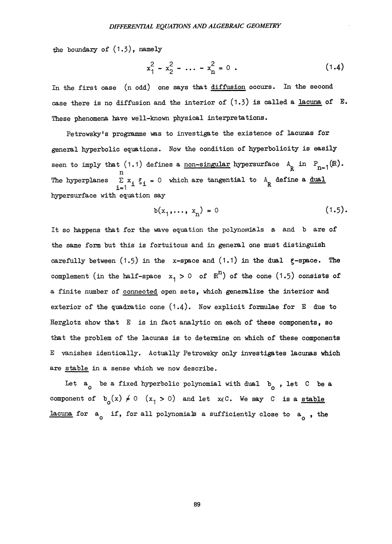the boundary of (1.3), namely

$$
x_1^2 - x_2^2 - \dots - x_n^2 = 0 \tag{1.4}
$$

In the first case (n odd) one says that diffusion occurs. In the second case there is no diffusion and the interior of  $(1.3)$  is called a lacuna of E. These phenomena have well-known physical interpretations.

Petrowsky's programme was to investigate the existence of lacunas for general hyperbolic equations. Now the condition of hyperbolicity is easily seen to imply that (1.1) defines a <u>non-singular</u> hypersurface  $A_R$  in  $P_{n-1}(\mathbb{R})$ . The hyperplanes  $\sum x_i \xi_i = 0$  which are tangential to  $A_R$  define a <u>dual</u> hypersurface with equation say

$$
b(x_1,\ldots,x_n)=0
$$
 (1.5).

It so happens that for the wave equation the polynomials a and b are of the same form but this is fortuitous and in general one must distinguish carefully between  $(1.5)$  in the x-space and  $(1.1)$  in the dual  $\xi$ -space. The complement (in the half-space  $x_1 > 0$  of  $\mathbb{R}^n$ ) of the cone (1.5) consists of a finite number of connected open sets, which generalize the interior and exterior of the quadratic cone (1.4). Now explicit formulae for E due to Herglotz show that  $E$  is in fact analytic on each of these components, so that the problem of the lacunas is to determine on which of these components E vanishes identically. Actually Petrowsky only investigates lacunas which are stable in a sense which we now describe.

Let  $a_0$  be a fixed hyperbolic polynomial with dual  $b_0$ , let C be a component of  $b_0(x) \neq 0$   $(x_1 > 0)$  and let  $x \in C$ . We say C is a stable lacuna for  $a_0$  if, for all polynomials a sufficiently close to  $a_0$ , the

89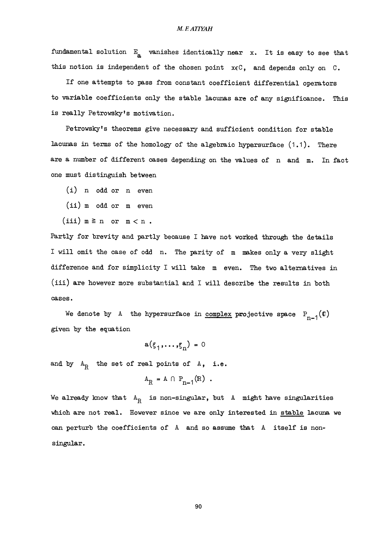#### M.EAT7YAH

fundamental solution  $E_a$  vanishes identically near x. It is easy to see that this notion is independent of the chosen point  $x \in C$ , and depends only on  $C$ .

If one attempts to pass from constant coefficient differential operators to variable coefficients only the stable lacunas are of any significance. This is really Petrowsky's motivation.

Petrowsky's theorems give necessary and sufficient condition for stable lacunas in terms of the homology of the algebraic hypersurface  $(1.1)$ . There are a number of different cases depending on the values of n and m. In fact one must distinguish between

(i) n odd or n even

(ii) m odd or m even

(iii)  $m \ge n$  or  $m < n$ .

Partly for brevity and partly because I have not worked through the details I will omit the case of odd n. The parity of m makes only a very slight difference and for simplicity I will take m even. The two alternatives in (iii) are however more substantial and I will describe the results in both cases.

We denote by A the hypersurface in complex projective space  $P_{n-1}(0)$ given by the equation

```
a(\xi_1,...,\xi_n) = 0
```
and by  $A_R$  the set of real points of A, i.e.

$$
A_R = A \cap P_{n-1}(R) .
$$

We already know that  $A_R$  is non-singular, but A might have singularities which are not real. However since we are only interested in stable lacuna we can perturb the coefficients of A and so assume that A itself is nonsingular.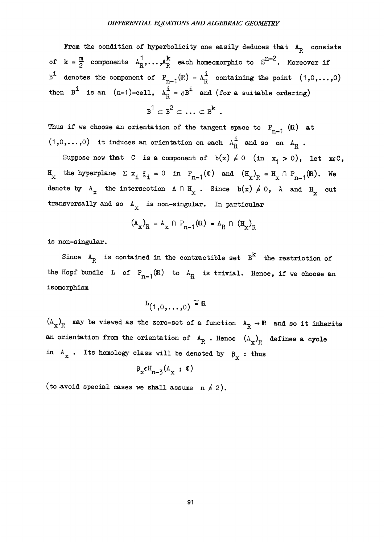From the condition of hyperbolicity one easily deduces that  $A_R$  consists of  $k = \frac{m}{2}$  components  $A_R^1, \ldots, A_R^k$  each homeomorphic to  $S^{n-2}$ . Moreover if  $B^{i}$  denotes the component of  $P_{n-1}(\mathbb{R}) - A_{R}^{i}$  containing the point  $(1,0,\ldots,0)$ then  $B^i$  is an  $(n-1)$ -cell,  $A_R^i = \partial B^i$  and (for a suitable ordering)

$$
B^1 \subset B^2 \subset \ldots \subset B^k.
$$

Thus if we choose an orientation of the tangent space to  $P_{n-1}$  (R) at  $(1,0,\ldots,0)$  it induces an orientation on each  $A_{R}^{i}$  and so on  $A_{R}$ .

Suppose now that C is a component of  $b(x) \neq 0$  (in  $x_1 > 0$ ), let  $x \in C$ ,  $H_{\text{x}}$  the hyperplane  $\Sigma$   $x_i$   $\xi_i$  = 0 in  $P_{n-1}(\mathfrak{C})$  and  $(H_{\text{x}})_{R} = H_{\text{x}} \cap P_{n-1}(\mathbb{R})$ . We denote by  $A_x$  the intersection  $A \cap H_x$ . Since  $b(x) \neq 0$ , A and  $H_x$  cut transversally and so  $A_x$  is non-singular. In particular

$$
(A_x)_R = A_x \cap P_{n-1}(R) = A_R \cap (H_x)_R
$$

is non-singular.

Since  $A_R$  is contained in the contractible set  $B^k$  the restriction of the Hopf bundle L of  $P_{n-1}(\mathbb{R})$  to  $A_{\mathbb{R}}$  is trivial. Hence, if we choose an isomorphism

$$
L_{(1,0,\ldots,0)} \cong \mathbb{R}
$$

 $(A_x)_R$  may be viewed as the zero-set of a function  $A_R \to \mathbb{R}$  and so it inherits an orientation from the orientation of  $A_R$ . Hence  $(A_x)_R$  defines a cycle in  $A_x$ . Its homology class will be denoted by  $\beta_x$ : thus

$$
\beta_{x} \epsilon H_{n-3} (A_x ; \mathbf{C})
$$

(to avoid special cases we shall assume  $n \neq 2$ ).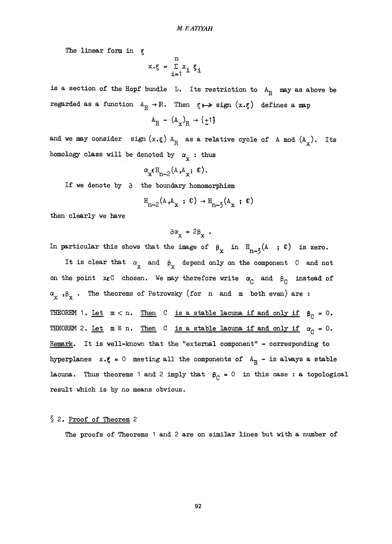The linear form in  $\varepsilon$ 

$$
x \cdot \xi = \sum_{i=1}^{n} x_i \xi_i
$$

is a section of the Hopf bundle L. Its restriction to  $A_R$  may as above be regarded as a function  $A_R \rightarrow \mathbb{R}$ . Then  $\xi \mapsto \text{sign}(x \cdot \xi)$  defines a map

$$
A_R - (A_x)_R \rightarrow \{\pm 1\}
$$

and we may consider sign  $(x,\xi)$   $A_R$  as a relative cycle of A mod  $(A_x)$ . Its homology class will be denoted by  $\alpha_{\rm y}$ : thus

$$
\mathbf{r}_{\mathbf{x}} \in \mathbb{H}_{n-2}(\mathbf{A}, \mathbf{A}_{\mathbf{x}}; \mathbf{C}).
$$

If we denote by  $\partial$  the boundary homomorphism

$$
\mathbf{H}_{n-2}(\mathbf{A}, \mathbf{A}_{\mathbf{x}} \ ; \ \mathbf{C}) \rightarrow \mathbf{H}_{n-3}(\mathbf{A}_{\mathbf{x}} \ ; \ \mathbf{C})
$$

then clearly we have

$$
\delta \alpha_{\mathbf{x}} = 2 \beta_{\mathbf{x}} \cdot
$$

In particular this shows that the image of  $\beta_x$  in  $H_{n-3}(A; \mathbb{C})$  is zero.

It is clear that  $\alpha_{\textnormal{x}}$  and  $\beta_{\textnormal{x}}$  depend only on the component C and not on the point  $x \in C$  chosen. We may therefore write  $\alpha_C$  and  $\beta_C$  instead of  $\alpha_{x}$ ,  $\beta_{x}$ . The theorems of Petrowsky (for n and m both even) are: THEOREM 1. Let  $m < n$ . Then C is a stable lacuna if and only if  $\beta_C = 0$ . THEOREM 2. Let  $m \ge n$ . Then C is a stable lacuna if and only if  $\alpha_C = 0$ . Remark. It is well-known that the "external component" - corresponding to hyperplanes  $x.g = 0$  meeting all the components of  $A_R - is$  always a stable lacuna. Thus theorems 1 and 2 imply that  $~\beta_{C} = 0$  in this case: a topological result which is by no means obvious.

#### § 2. Proof of Theorem 2

The proofs of Theorems 1 and 2 are on similar lines but with a number of

92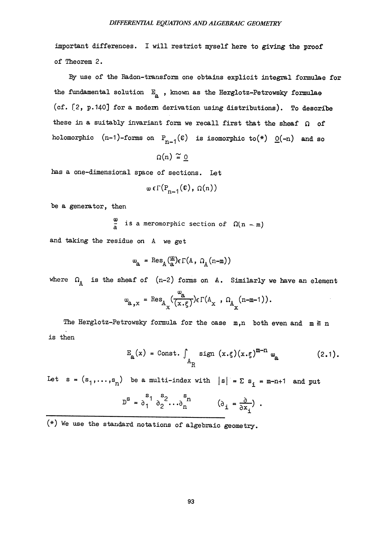important differences. I will restrict myself here to giving the proof of Theorem 2.

By use of the Radon-transform one obtains explicit integral formulae for the fundamental solution  $E_{\rm a}$  , known as the Herglotz-Petrowsky formulae (cf.  $[2, p.140]$  for a modern derivation using distributions). To describe these in a suitably invariant form we recall first that the sheaf  $\Omega$  of holomorphic  $(n-1)$ -forms on  $P_{n-1}(\mathbb{C})$  is isomorphic to(\*)  $Q(-n)$  and so

$$
\Omega(n) \cong \underline{0}
$$

has a one-dimensional space of sections. Let

$$
\omega \epsilon \Gamma(P_{n-1}(\mathfrak{C}), \Omega(n))
$$

be a generator, then

$$
\frac{a}{a}
$$
 is a meromorphic section of  $\Omega(n-m)$ 

and taking the residue on A we get

$$
\omega_{a} = \text{Res}_{A}(\frac{\omega}{a}) \epsilon \Gamma(A, \Omega_{A}(n-m))
$$

where  $\Omega_{\Lambda}$  is the sheaf of (n-2) forms on A. Similarly we have an element

$$
\omega_{\mathbf{a},\mathbf{x}} = \operatorname{Res}_{\mathbf{A}_{\mathbf{x}}} \left( \frac{\omega_{\mathbf{a}}}{\left( \mathbf{x} \cdot \boldsymbol{\xi} \right)} \right) \in \Gamma(\mathbf{A}_{\mathbf{x}}, \, \Omega_{\mathbf{A}_{\mathbf{x}}} \left( \mathbf{n} - \mathbf{m} - 1 \right)).
$$

The Herglotz-Petrowsky formula for the case  $m,n$  both even and  $m \ge n$ is then

$$
E_{\mathbf{a}}(x) = \text{Const.} \int_{A_{\mathbf{R}}} \text{sign}(x.\xi)(x.\xi)^{m-n} \omega_{\mathbf{a}} \qquad (2.1).
$$

Let  $s = (s_1, ..., s_n)$  be a multi-index with  $|s| = \sum s_i = m-n+1$  and put

$$
D^{S} = \delta_1^{S_1} \delta_2^{S_2} \cdots \delta_n^{S_n} \qquad (\delta_i = \frac{\partial}{\partial x_i})
$$

(\*) We use the standard notations of algebraic geometry.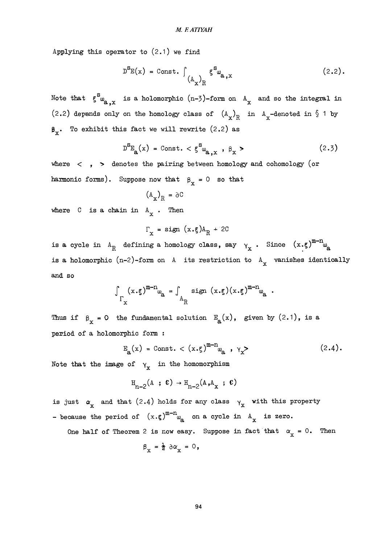Applying this operator to  $(2.1)$  we find

$$
D^{S_{E}}(x) = \text{Const.} \int_{(A_x)_R} \xi^{S_{\omega}} a_{,x}
$$
 (2.2).

Note that  $\xi_{\omega_{2,x}}^s$  is a holomorphic (n-3)-form on  $A_x$  and so the integral in (2.2) depends only on the homology class of  $(A_x)_R$  in  $A_x$ -denoted in § 1 by  $\beta_x$ . To exhibit this fact we will rewrite (2.2) as

$$
D^{S}E_{\mathbf{a}}(x) = \text{Const.} < \xi^{S} \omega_{\mathbf{a},x} , \beta_{x} >
$$
 (2.3)

where  $\langle , \rangle$  denotes the pairing between homology and cohomology (or harmonic forms). Suppose now that  $\beta_x = 0$  so that

$$
O6 = \frac{1}{A} \left(\frac{A}{X}\right)^2
$$

where  $C$  is a chain in  $A_x$ . Then

$$
\Gamma_{\mathbf{x}} = \text{sign}(x \cdot \xi) A_{R} + 2C
$$

is a cycle in  $A_R$  defining a homology class, say  $\gamma_x$ . Since  $(x, \xi)^{m-n} \omega_a$ is a holomorphic (n-2)-form on A its restriction to  $A_x$  vanishes identically and so

$$
\int_{\Gamma_{\mathbf{x}}} (x \cdot \xi)^{m-n} \omega_{\mathbf{a}} = \int_{A_{\mathbf{R}}} \text{sign}(x \cdot \xi) (x \cdot \xi)^{m-n} \omega_{\mathbf{a}}
$$

Thus if  $\beta_x = 0$  the fundamental solution  $E_a(x)$ , given by  $(2.1)$ , is a period of a holomorphic form :

$$
E_{a}(x) = Const. < (x.\xi)^{m-n} \omega_{a} , \gamma_{x} >
$$
 (2.4).

Note that the image of  $\gamma_x$  in the homomorphism

$$
\mathbf{H}_{n-2}(\mathbf{A} \ ; \ \mathbf{C}) \rightarrow \mathbf{H}_{n-2}(\mathbf{A}, \mathbf{A}_{\mathbf{X}} \ ; \ \mathbf{C})
$$

is just  $\alpha_{\text{x}}$  and that (2.4) holds for any class  $\gamma_{\text{x}}$  with this property - because the period of  $(x.\xi)^{m-n}$  a cycle in  $A_x$  is zero.

One half of Theorem 2 is now easy. Suppose in fact that  $\alpha_x = 0$ . Then

$$
\beta_{x} = \frac{1}{2} \, \partial \alpha_{x} = 0,
$$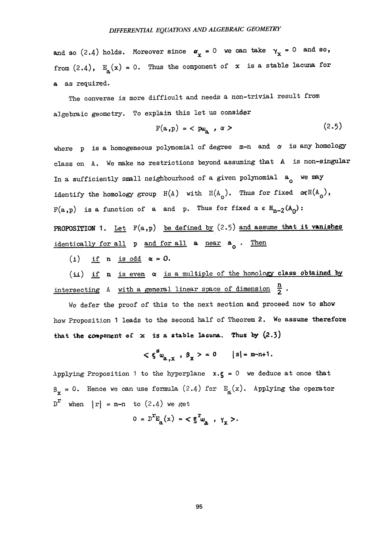and so (2.4) holds. Moreover since  $\alpha_x = 0$  we can take  $\gamma_x = 0$  and so, from  $(2.4)$ ,  $E_{\text{a}}(x) = 0$ . Thus the component of x is a stable lacuna for a as required.

The converse is more difficult and needs a non-trivial result from algebraic geometry. To explain this let us consider

$$
F(a,p) = \langle p\omega_a, \alpha \rangle \qquad (2.5)
$$

where p is a homogeneous polynomial of degree  $m-n$  and  $\alpha$  is any homology class on A. We make no restrictions beyond assuming that A is non-singular In a sufficiently small neighbourhood of a given polynomial  $a_n$  we may identify the homology group  $H(A)$  with  $H(A_0)$ . Thus for fixed  $\alpha \in H(A_0)$ ,  $F(a,p)$  is a function of a and p. Thus for fixed  $\alpha \in H_{n-2}(A_0)$ : PROPOSITION 1. Let  $F(a,p)$  be defined by  $(2.5)$  and assume that it vanishes identically for all  $p$  and for all  $a$  near  $a_0$ . Then

(i) if n is odd  $\alpha = 0$ .

(ii) if n is even  $\alpha$  is a multiple of the homology class obtained by intersecting  $A$  with a general linear space of dimension  $\frac{h}{2}$ .

We defer the proof of this to the next section and proceed now to show how Proposition 1 leads to the second half of Theorem 2. We assume therefore that the component of  $x$  is a stable Iacuna. Thus by  $(2.3)$ 

$$
\langle \xi^s u_{a,x} , \beta_x \rangle = 0 \qquad |s| = m-n+1.
$$

Applying Proposition 1 to the hyperplane  $x \cdot \xi = 0$  we deduce at once that  $\beta_x = 0$ . Hence we can use formula (2.4) for  $E_a(x)$ . Applying the operator  $D^{r}$  when  $|r| = m-n$  to (2.4) we get

$$
0 = D^{T}E_{a}(x) = \langle \xi^{T} \omega_{a} , \gamma_{x} \rangle.
$$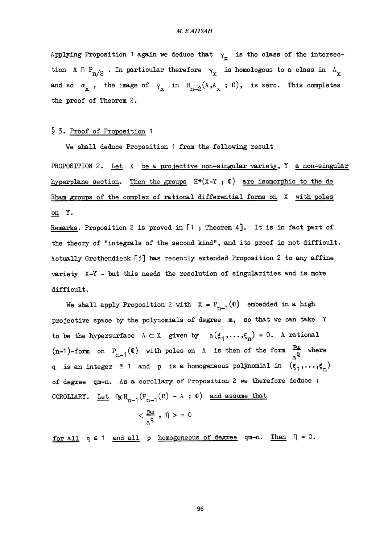#### M. F. ATIYAH

Applying Proposition 1 again we deduce that  $y_r$  is the class of the intersection A  $\cap$  P<sub>n/2</sub>. In particular therefore  $\gamma_x$  is homologous to a class in A<sub>x</sub> and so  $\alpha_x$ , the image of  $\gamma_x$  in  $H_{n-2}(A, A_x; C)$ , is zero. This completes the proof of Theorem 2.

#### § 3. Proof of Proposition 1

We shall deduce Proposition 1 from the following result

PROPOSITION 2. Let  $X$  be a projective non-singular variety,  $Y$  a non-singular hyperplane section. Then the groups  $H^*(X-Y; \mathbb{C})$  are isomorphic to the de Rham groups of the complex of rational differential forms on X with poles on Y.

Remarks. Proposition 2 is proved in  $\lceil 1 \rceil$ ; Theorem 4]. It is in fact part of the theory of "integrals of the second kind", and its proof is not difficult. Actually Grothendieck  $[3]$  has recently extended Proposition 2 to any affine variety  $X-Y$  - but this needs the resolution of singularities and is more difficult.

We shall apply Proposition 2 with  $X = P_{n-1}(C)$  embedded in a high projective space by the polynomials of degree m, so that we can take Y to be the hypersurface  $A \subset X$  given by  $a(\xi_1,\ldots,\xi_n) = 0$ . A rational (n-1)-form on  $P_{n-1}(\mathbb{C})$  with poles on A is then of the form  $\frac{F\omega}{a^q}$  where q is an integer  $\geq$  1 and p is a homogeneous polynomial in  $(\xi_1,\ldots,\xi_n)$ of degree qm-n. As a corollary of Proposition 2 we therefore deduce : COROLLARY. Let  $\eta_{\epsilon} H_{n-1} (P_{n-1} (C) - A ; C)$  and assume that

$$
<\frac{p_{0}}{a^{q}}\;,\;\mathbb{q}>~=0
$$

for all  $q \ge 1$  and all p homogeneous of degree qm-n. Then  $\Pi = 0$ .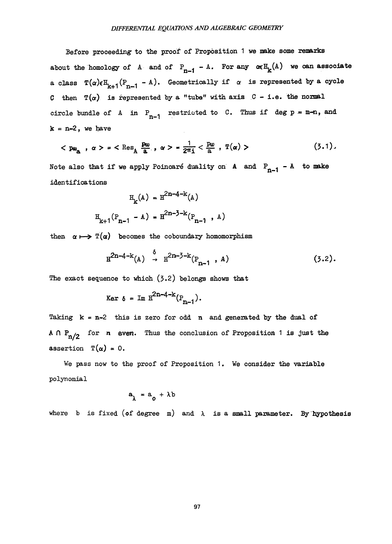Before proceeding to the proof of Proposition 1 we make some remarks about the homology of A and of  $P_{n-1} - A$ . For any  $\alpha \in H_k(A)$  we can associate a class  $T(\alpha) \in H_{k+1}(P_{n-1} - A)$ . Geometrically if  $\alpha$  is represented by a cycle C then  $T(\alpha)$  is represented by a "tube" with axis C - i.e. the normal circle bundle of A in  $P_{n-1}$  restricted to C. Thus if deg p = m-n, and  $k = n-2$ , we have

$$
\langle \mathbf{p}_{\mathbf{w}_{\mathbf{a}}}, \alpha \rangle = \langle \mathbf{Res}_{\mathbf{A}} \frac{\mathbf{p}_{\mathbf{w}}}{\mathbf{a}}, \alpha \rangle = \frac{1}{2\pi \mathbf{i}} \langle \frac{\mathbf{p}_{\mathbf{w}}}{\mathbf{a}}, \mathbf{T}(\alpha) \rangle \tag{3.1}.
$$

Note also that if we apply Poincaré duality on A and  $P_{n-1}$  - A to make identifications

$$
H_{k}(A) = H^{2n-4-k}(A)
$$
  

$$
H_{k+1}(P_{n-1} - A) = H^{2n-3-k}(P_{n-1} , A)
$$

then  $\alpha \mapsto \mathbb{T}(\alpha)$  becomes the coboundary homomorphism

$$
H^{2n-4-k}(A) \stackrel{\delta}{\to} H^{2n-3-k}(P_{n-1}, A)
$$
 (3.2).

The exact sequence to which  $(3.2)$  belongs shows that

$$
\text{Ker } \delta = \text{Im } \mathbb{H}^{2n-4-k}(P_{n-1}).
$$

Taking  $k = n-2$  this is zero for odd n and generated by the dual of A  $\bigcap P_{n/2}$  for n even. Thus the conclusion of Proposition 1 is just the assertion  $T(\alpha) = 0$ .

We pass now to the proof of Proposition 1. We consider the variable polynomial

$$
a_{\lambda} = a_{0} + \lambda b
$$

where b is fixed (of degree m) and  $\lambda$  is a small parameter. By hypothesis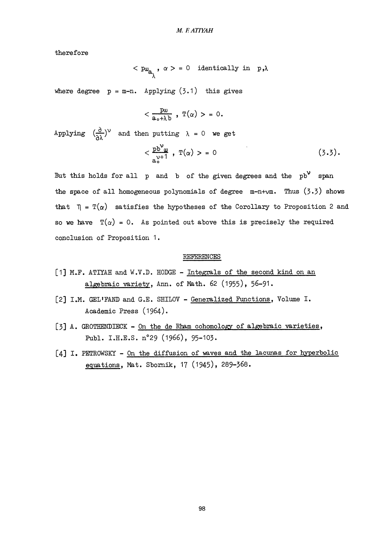therefore

$$
\langle \begin{array}{cc} p\omega_{\mathbf{a}} & \alpha > = 0 \end{array} \text{ identically in } \mathbf{p}, \lambda
$$

where degree  $p = m-n$ . Applying  $(3.1)$  this gives

$$
<\frac{p\omega}{a_{\circ}+\lambda b} \; , \; T(\alpha) > = 0.
$$

Applying  $\left(\frac{\partial}{\partial \lambda}\right)^{\vee}$  and then putting  $\lambda = 0$  we get

$$
\langle \frac{\text{pb}^{\mathcal{V}}\text{u}}{\text{a}^{\mathcal{V}+1}_{\mathcal{S}}}, \text{T}(\alpha) > 0 \qquad (3.3).
$$

But this holds for all  $p$  and  $b$  of the given degrees and the  $pb^{\vee}$  span the space of all homogeneous polynomials of degree  $m-n+vm$ . Thus  $(3.3)$  shows that  $\eta = \mathbb{T}(\alpha)$  satisfies the hypotheses of the Corollary to Proposition 2 and so we have  $\mathbb{T}(\alpha) = 0$ . As pointed out above this is precisely the required conclusion of Proposition 1.

#### REFERENCES

- [1] M.F. ATIYAH and W.V.D. HODGE Integrals of the second kind on an algebraic variety, Ann. of Math. 62 (1955), 56-91.
- [2] I.M. GEL'FAND and G.E. SHILOV Generalized Functions, Volume I. Academic Press (1964).
- [3] A. GROTHENDIECK On the de Rham cohomology of algebraic varieties, Publ. I.H.E.S. n°29 (1966), 95-103.
- [4] I. PETROWSKY On the diffusion of Waves and the lacunas for hyperbolic equations, Mat. Sbornik, 17 (1945), 289-368.